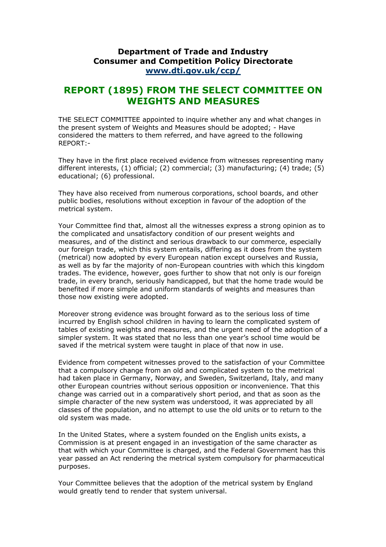## **Department of Trade and Industry Consumer and Competition Policy Directorate [www.dti.gov.uk/ccp/](http://www.dti.gov.uk/ccp/)**

## **REPORT (1895) FROM THE SELECT COMMITTEE ON WEIGHTS AND MEASURES**

THE SELECT COMMITTEE appointed to inquire whether any and what changes in the present system of Weights and Measures should be adopted; - Have considered the matters to them referred, and have agreed to the following REPORT:-

They have in the first place received evidence from witnesses representing many different interests, (1) official; (2) commercial; (3) manufacturing; (4) trade; (5) educational; (6) professional.

They have also received from numerous corporations, school boards, and other public bodies, resolutions without exception in favour of the adoption of the metrical system.

Your Committee find that, almost all the witnesses express a strong opinion as to the complicated and unsatisfactory condition of our present weights and measures, and of the distinct and serious drawback to our commerce, especially our foreign trade, which this system entails, differing as it does from the system (metrical) now adopted by every European nation except ourselves and Russia, as well as by far the majority of non-European countries with which this kingdom trades. The evidence, however, goes further to show that not only is our foreign trade, in every branch, seriously handicapped, but that the home trade would be benefited if more simple and uniform standards of weights and measures than those now existing were adopted.

Moreover strong evidence was brought forward as to the serious loss of time incurred by English school children in having to learn the complicated system of tables of existing weights and measures, and the urgent need of the adoption of a simpler system. It was stated that no less than one year's school time would be saved if the metrical system were taught in place of that now in use.

Evidence from competent witnesses proved to the satisfaction of your Committee that a compulsory change from an old and complicated system to the metrical had taken place in Germany, Norway, and Sweden, Switzerland, Italy, and many other European countries without serious opposition or inconvenience. That this change was carried out in a comparatively short period, and that as soon as the simple character of the new system was understood, it was appreciated by all classes of the population, and no attempt to use the old units or to return to the old system was made.

In the United States, where a system founded on the English units exists, a Commission is at present engaged in an investigation of the same character as that with which your Committee is charged, and the Federal Government has this year passed an Act rendering the metrical system compulsory for pharmaceutical purposes.

Your Committee believes that the adoption of the metrical system by England would greatly tend to render that system universal.